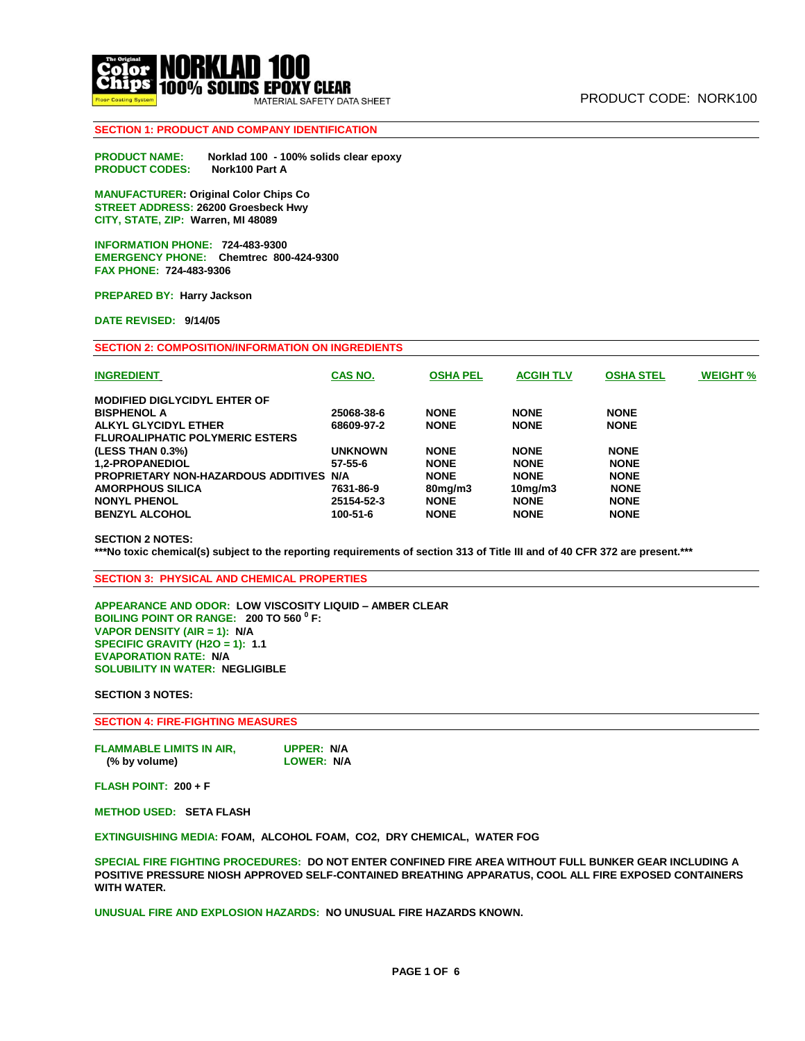

# **SECTION 1: PRODUCT AND COMPANY IDENTIFICATION**

**PRODUCT NAME: Norklad 100 - 100% solids clear epoxy PRODUCT CODES: Nork100 Part A**

**MANUFACTURER: Original Color Chips Co STREET ADDRESS: 26200 Groesbeck Hwy CITY, STATE, ZIP: Warren, MI 48089** 

**INFORMATION PHONE: 724-483-9300 EMERGENCY PHONE: Chemtrec 800-424-9300 FAX PHONE: 724-483-9306** 

**PREPARED BY: Harry Jackson** 

**DATE REVISED: 9/14/05** 

**SECTION 2: COMPOSITION/INFORMATION ON INGREDIENTS**

| <b>INGREDIENT</b>                       | CAS NO.        | <b>OSHA PEL</b> | <b>ACGIH TLV</b> | <b>OSHA STEL</b> | <b>WEIGHT %</b> |
|-----------------------------------------|----------------|-----------------|------------------|------------------|-----------------|
| <b>MODIFIED DIGLYCIDYL EHTER OF</b>     |                |                 |                  |                  |                 |
| <b>BISPHENOL A</b>                      | 25068-38-6     | <b>NONE</b>     | <b>NONE</b>      | <b>NONE</b>      |                 |
| ALKYL GLYCIDYL ETHER                    | 68609-97-2     | <b>NONE</b>     | <b>NONE</b>      | <b>NONE</b>      |                 |
| <b>FLUROALIPHATIC POLYMERIC ESTERS</b>  |                |                 |                  |                  |                 |
| (LESS THAN 0.3%)                        | <b>UNKNOWN</b> | <b>NONE</b>     | <b>NONE</b>      | <b>NONE</b>      |                 |
| <b>1.2-PROPANEDIOL</b>                  | 57-55-6        | <b>NONE</b>     | <b>NONE</b>      | <b>NONE</b>      |                 |
| PROPRIETARY NON-HAZARDOUS ADDITIVES N/A |                | <b>NONE</b>     | <b>NONE</b>      | <b>NONE</b>      |                 |
| <b>AMORPHOUS SILICA</b>                 | 7631-86-9      | $80$ mg/m $3$   | $10$ mg/m $3$    | <b>NONE</b>      |                 |
| <b>NONYL PHENOL</b>                     | 25154-52-3     | <b>NONE</b>     | <b>NONE</b>      | <b>NONE</b>      |                 |
| <b>BENZYL ALCOHOL</b>                   | 100-51-6       | <b>NONE</b>     | <b>NONE</b>      | <b>NONE</b>      |                 |
|                                         |                |                 |                  |                  |                 |

**SECTION 2 NOTES:** 

**\*\*\*No toxic chemical(s) subject to the reporting requirements of section 313 of Title III and of 40 CFR 372 are present.\*\*\***

**SECTION 3: PHYSICAL AND CHEMICAL PROPERTIES**

**APPEARANCE AND ODOR: LOW VISCOSITY LIQUID – AMBER CLEAR BOILING POINT OR RANGE: 200 TO 560 <sup>0</sup> F: VAPOR DENSITY (AIR = 1): N/A SPECIFIC GRAVITY (H2O = 1): 1.1 EVAPORATION RATE: N/A SOLUBILITY IN WATER: NEGLIGIBLE** 

**SECTION 3 NOTES:** 

**SECTION 4: FIRE-FIGHTING MEASURES** 

| <b>FLAMMABLE LIMITS IN AIR,</b> | UPPER: N/A        |
|---------------------------------|-------------------|
| (% by volume)                   | <b>LOWER: N/A</b> |

**FLASH POINT: 200 + F** 

**METHOD USED: SETA FLASH** 

**EXTINGUISHING MEDIA: FOAM, ALCOHOL FOAM, CO2, DRY CHEMICAL, WATER FOG** 

**SPECIAL FIRE FIGHTING PROCEDURES: DO NOT ENTER CONFINED FIRE AREA WITHOUT FULL BUNKER GEAR INCLUDING A POSITIVE PRESSURE NIOSH APPROVED SELF-CONTAINED BREATHING APPARATUS, COOL ALL FIRE EXPOSED CONTAINERS WITH WATER.** 

**UNUSUAL FIRE AND EXPLOSION HAZARDS: NO UNUSUAL FIRE HAZARDS KNOWN.**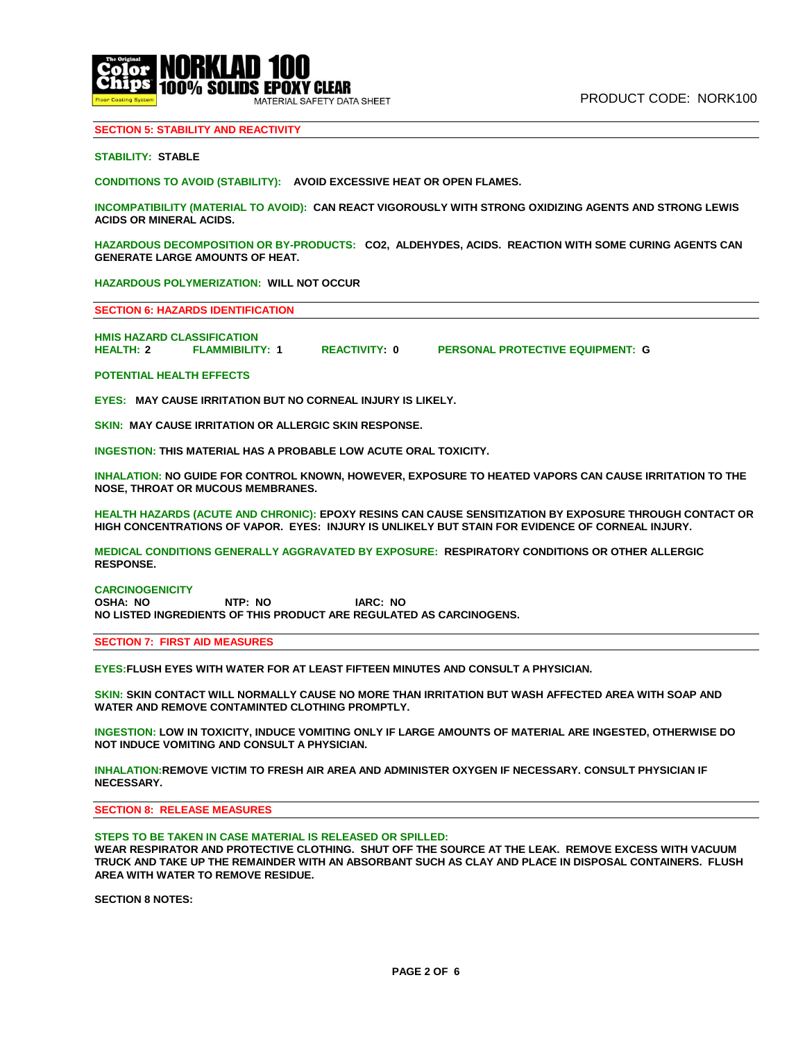

### **SECTION 5: STABILITY AND REACTIVITY**

### **STABILITY: STABLE**

**CONDITIONS TO AVOID (STABILITY): AVOID EXCESSIVE HEAT OR OPEN FLAMES.** 

**INCOMPATIBILITY (MATERIAL TO AVOID): CAN REACT VIGOROUSLY WITH STRONG OXIDIZING AGENTS AND STRONG LEWIS ACIDS OR MINERAL ACIDS.** 

**HAZARDOUS DECOMPOSITION OR BY-PRODUCTS: CO2, ALDEHYDES, ACIDS. REACTION WITH SOME CURING AGENTS CAN GENERATE LARGE AMOUNTS OF HEAT.** 

**HAZARDOUS POLYMERIZATION: WILL NOT OCCUR** 

**SECTION 6: HAZARDS IDENTIFICATION**

**HMIS HAZARD CLASSIFICATION HEALTH: 2 FLAMMIBILITY: 1 REACTIVITY: 0 PERSONAL PROTECTIVE EQUIPMENT: G**

**POTENTIAL HEALTH EFFECTS**

**EYES: MAY CAUSE IRRITATION BUT NO CORNEAL INJURY IS LIKELY.** 

**SKIN: MAY CAUSE IRRITATION OR ALLERGIC SKIN RESPONSE.** 

**INGESTION: THIS MATERIAL HAS A PROBABLE LOW ACUTE ORAL TOXICITY.** 

**INHALATION: NO GUIDE FOR CONTROL KNOWN, HOWEVER, EXPOSURE TO HEATED VAPORS CAN CAUSE IRRITATION TO THE NOSE, THROAT OR MUCOUS MEMBRANES.** 

**HEALTH HAZARDS (ACUTE AND CHRONIC): EPOXY RESINS CAN CAUSE SENSITIZATION BY EXPOSURE THROUGH CONTACT OR HIGH CONCENTRATIONS OF VAPOR. EYES: INJURY IS UNLIKELY BUT STAIN FOR EVIDENCE OF CORNEAL INJURY.** 

**MEDICAL CONDITIONS GENERALLY AGGRAVATED BY EXPOSURE: RESPIRATORY CONDITIONS OR OTHER ALLERGIC RESPONSE.** 

#### **CARCINOGENICITY**

**OSHA: NO NTP: NO IARC: NO NO LISTED INGREDIENTS OF THIS PRODUCT ARE REGULATED AS CARCINOGENS.**

**SECTION 7: FIRST AID MEASURES**

**EYES:FLUSH EYES WITH WATER FOR AT LEAST FIFTEEN MINUTES AND CONSULT A PHYSICIAN.** 

**SKIN: SKIN CONTACT WILL NORMALLY CAUSE NO MORE THAN IRRITATION BUT WASH AFFECTED AREA WITH SOAP AND WATER AND REMOVE CONTAMINTED CLOTHING PROMPTLY.** 

**INGESTION: LOW IN TOXICITY, INDUCE VOMITING ONLY IF LARGE AMOUNTS OF MATERIAL ARE INGESTED, OTHERWISE DO NOT INDUCE VOMITING AND CONSULT A PHYSICIAN.** 

**INHALATION:REMOVE VICTIM TO FRESH AIR AREA AND ADMINISTER OXYGEN IF NECESSARY. CONSULT PHYSICIAN IF NECESSARY.**

**SECTION 8: RELEASE MEASURES**

**STEPS TO BE TAKEN IN CASE MATERIAL IS RELEASED OR SPILLED:** 

**WEAR RESPIRATOR AND PROTECTIVE CLOTHING. SHUT OFF THE SOURCE AT THE LEAK. REMOVE EXCESS WITH VACUUM TRUCK AND TAKE UP THE REMAINDER WITH AN ABSORBANT SUCH AS CLAY AND PLACE IN DISPOSAL CONTAINERS. FLUSH AREA WITH WATER TO REMOVE RESIDUE.**

**SECTION 8 NOTES:**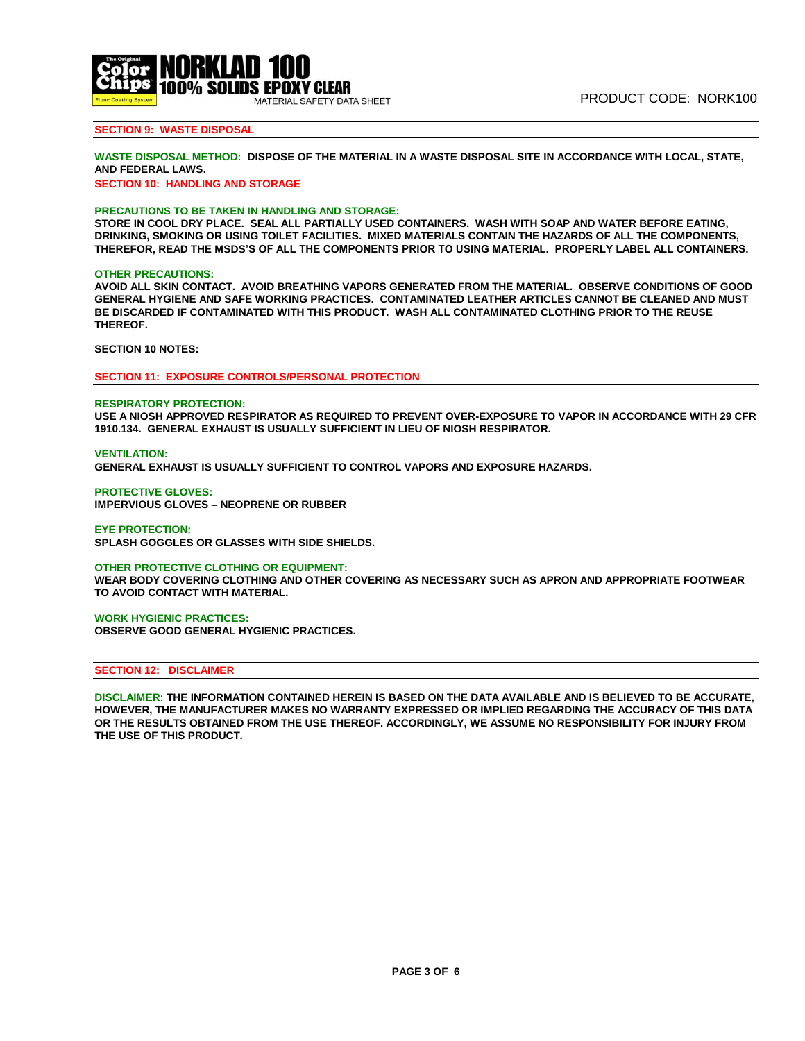

# **SECTION 9: WASTE DISPOSAL**

### **WASTE DISPOSAL METHOD: DISPOSE OF THE MATERIAL IN A WASTE DISPOSAL SITE IN ACCORDANCE WITH LOCAL, STATE, AND FEDERAL LAWS.**

**SECTION 10: HANDLING AND STORAGE**

#### **PRECAUTIONS TO BE TAKEN IN HANDLING AND STORAGE:**

**The Original St. ADAM ST. ADAM ST. ADAM** 

100% SOLIDS EPOXY CLEAR

ATERIAL SAFETY DATA SHEET

**STORE IN COOL DRY PLACE. SEAL ALL PARTIALLY USED CONTAINERS. WASH WITH SOAP AND WATER BEFORE EATING, DRINKING, SMOKING OR USING TOILET FACILITIES. MIXED MATERIALS CONTAIN THE HAZARDS OF ALL THE COMPONENTS, THEREFOR, READ THE MSDS'S OF ALL THE COMPONENTS PRIOR TO USING MATERIAL. PROPERLY LABEL ALL CONTAINERS.** 

#### **OTHER PRECAUTIONS:**

**AVOID ALL SKIN CONTACT. AVOID BREATHING VAPORS GENERATED FROM THE MATERIAL. OBSERVE CONDITIONS OF GOOD GENERAL HYGIENE AND SAFE WORKING PRACTICES. CONTAMINATED LEATHER ARTICLES CANNOT BE CLEANED AND MUST BE DISCARDED IF CONTAMINATED WITH THIS PRODUCT. WASH ALL CONTAMINATED CLOTHING PRIOR TO THE REUSE THEREOF.**

**SECTION 10 NOTES:** 

**SECTION 11: EXPOSURE CONTROLS/PERSONAL PROTECTION**

#### **RESPIRATORY PROTECTION:**

**USE A NIOSH APPROVED RESPIRATOR AS REQUIRED TO PREVENT OVER-EXPOSURE TO VAPOR IN ACCORDANCE WITH 29 CFR 1910.134. GENERAL EXHAUST IS USUALLY SUFFICIENT IN LIEU OF NIOSH RESPIRATOR.** 

**VENTILATION:** 

**GENERAL EXHAUST IS USUALLY SUFFICIENT TO CONTROL VAPORS AND EXPOSURE HAZARDS.** 

**PROTECTIVE GLOVES: IMPERVIOUS GLOVES – NEOPRENE OR RUBBER** 

**EYE PROTECTION: SPLASH GOGGLES OR GLASSES WITH SIDE SHIELDS.** 

**OTHER PROTECTIVE CLOTHING OR EQUIPMENT:** 

**WEAR BODY COVERING CLOTHING AND OTHER COVERING AS NECESSARY SUCH AS APRON AND APPROPRIATE FOOTWEAR TO AVOID CONTACT WITH MATERIAL.** 

### **WORK HYGIENIC PRACTICES:**

**OBSERVE GOOD GENERAL HYGIENIC PRACTICES.**

# **SECTION 12: DISCLAIMER**

**DISCLAIMER: THE INFORMATION CONTAINED HEREIN IS BASED ON THE DATA AVAILABLE AND IS BELIEVED TO BE ACCURATE, HOWEVER, THE MANUFACTURER MAKES NO WARRANTY EXPRESSED OR IMPLIED REGARDING THE ACCURACY OF THIS DATA OR THE RESULTS OBTAINED FROM THE USE THEREOF. ACCORDINGLY, WE ASSUME NO RESPONSIBILITY FOR INJURY FROM THE USE OF THIS PRODUCT.**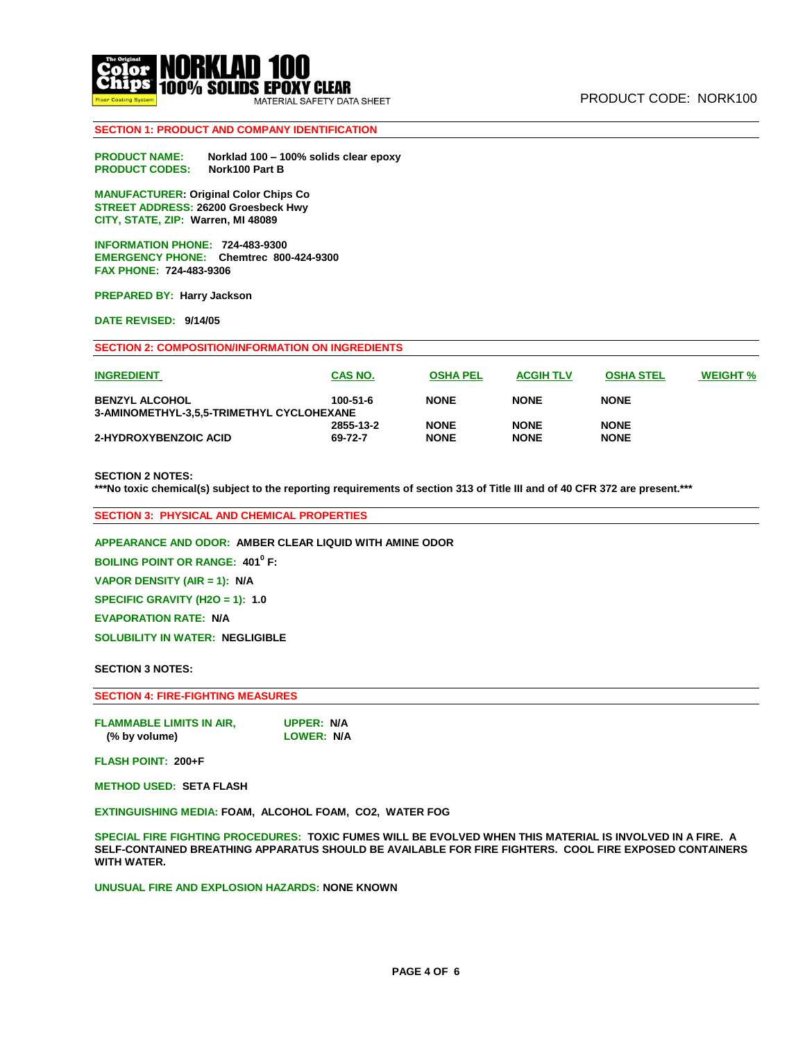

# **SECTION 1: PRODUCT AND COMPANY IDENTIFICATION**

**PRODUCT NAME: Norklad 100 – 100% solids clear epoxy PRODUCT CODES: Nork100 Part B**

**MANUFACTURER: Original Color Chips Co STREET ADDRESS: 26200 Groesbeck Hwy CITY, STATE, ZIP: Warren, MI 48089** 

**INFORMATION PHONE: 724-483-9300 EMERGENCY PHONE: Chemtrec 800-424-9300 FAX PHONE: 724-483-9306** 

**PREPARED BY: Harry Jackson** 

**DATE REVISED: 9/14/05** 

| <b>SECTION 2: COMPOSITION/INFORMATION ON INGREDIENTS</b> |           |                 |                  |                  |                 |  |  |  |
|----------------------------------------------------------|-----------|-----------------|------------------|------------------|-----------------|--|--|--|
| <b>INGREDIENT</b>                                        | CAS NO.   | <b>OSHA PEL</b> | <b>ACGIH TLV</b> | <b>OSHA STEL</b> | <b>WEIGHT %</b> |  |  |  |
| <b>BENZYL ALCOHOL</b>                                    | 100-51-6  | <b>NONE</b>     | <b>NONE</b>      | <b>NONE</b>      |                 |  |  |  |
| 3-AMINOMETHYL-3,5,5-TRIMETHYL CYCLOHEXANE                |           |                 |                  |                  |                 |  |  |  |
|                                                          | 2855-13-2 | <b>NONE</b>     | <b>NONE</b>      | <b>NONE</b>      |                 |  |  |  |
| 2-HYDROXYBENZOIC ACID                                    | 69-72-7   | <b>NONE</b>     | <b>NONE</b>      | <b>NONE</b>      |                 |  |  |  |

### **SECTION 2 NOTES:**

**\*\*\*No toxic chemical(s) subject to the reporting requirements of section 313 of Title III and of 40 CFR 372 are present.\*\*\***

**SECTION 3: PHYSICAL AND CHEMICAL PROPERTIES**

**APPEARANCE AND ODOR: AMBER CLEAR LIQUID WITH AMINE ODOR** 

**BOILING POINT OR RANGE: 401<sup>0</sup> F:** 

**VAPOR DENSITY (AIR = 1): N/A** 

**SPECIFIC GRAVITY (H2O = 1): 1.0** 

**EVAPORATION RATE: N/A** 

**SOLUBILITY IN WATER: NEGLIGIBLE** 

#### **SECTION 3 NOTES:**

### **SECTION 4: FIRE-FIGHTING MEASURES**

**FLAMMABLE LIMITS IN AIR, UPPER: N/A** (% by volume)

**FLASH POINT: 200+F**

**METHOD USED: SETA FLASH** 

**EXTINGUISHING MEDIA: FOAM, ALCOHOL FOAM, CO2, WATER FOG** 

**SPECIAL FIRE FIGHTING PROCEDURES: TOXIC FUMES WILL BE EVOLVED WHEN THIS MATERIAL IS INVOLVED IN A FIRE. A SELF-CONTAINED BREATHING APPARATUS SHOULD BE AVAILABLE FOR FIRE FIGHTERS. COOL FIRE EXPOSED CONTAINERS WITH WATER.** 

**UNUSUAL FIRE AND EXPLOSION HAZARDS: NONE KNOWN**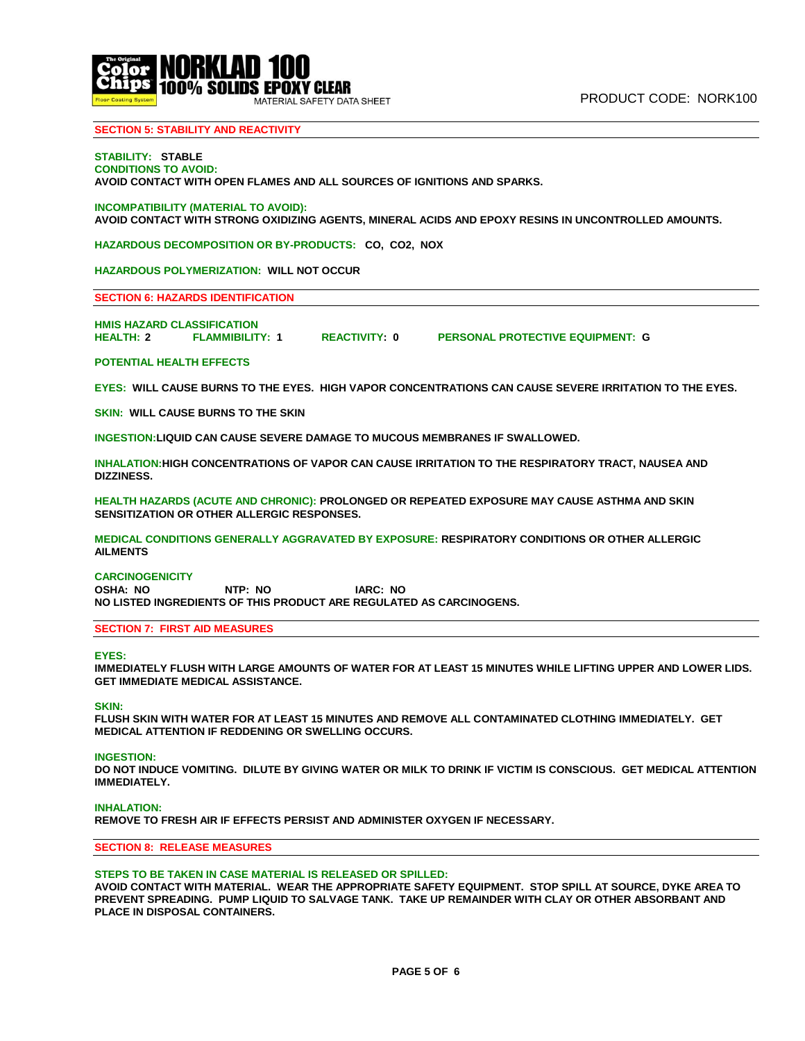

# **SECTION 5: STABILITY AND REACTIVITY**

#### **STABILITY: STABLE CONDITIONS TO AVOID:**

**AVOID CONTACT WITH OPEN FLAMES AND ALL SOURCES OF IGNITIONS AND SPARKS.**

### **INCOMPATIBILITY (MATERIAL TO AVOID):**

**AVOID CONTACT WITH STRONG OXIDIZING AGENTS, MINERAL ACIDS AND EPOXY RESINS IN UNCONTROLLED AMOUNTS.** 

**HAZARDOUS DECOMPOSITION OR BY-PRODUCTS: CO, CO2, NOX** 

**HAZARDOUS POLYMERIZATION: WILL NOT OCCUR** 

#### **SECTION 6: HAZARDS IDENTIFICATION**

**HMIS HAZARD CLASSIFICATION HEALTH: 2 FLAMMIBILITY: 1 REACTIVITY: 0 PERSONAL PROTECTIVE EQUIPMENT: G**

#### **POTENTIAL HEALTH EFFECTS**

**EYES: WILL CAUSE BURNS TO THE EYES. HIGH VAPOR CONCENTRATIONS CAN CAUSE SEVERE IRRITATION TO THE EYES.** 

**SKIN: WILL CAUSE BURNS TO THE SKIN** 

**INGESTION:LIQUID CAN CAUSE SEVERE DAMAGE TO MUCOUS MEMBRANES IF SWALLOWED.** 

**INHALATION:HIGH CONCENTRATIONS OF VAPOR CAN CAUSE IRRITATION TO THE RESPIRATORY TRACT, NAUSEA AND DIZZINESS.** 

**HEALTH HAZARDS (ACUTE AND CHRONIC): PROLONGED OR REPEATED EXPOSURE MAY CAUSE ASTHMA AND SKIN SENSITIZATION OR OTHER ALLERGIC RESPONSES.** 

**MEDICAL CONDITIONS GENERALLY AGGRAVATED BY EXPOSURE: RESPIRATORY CONDITIONS OR OTHER ALLERGIC AILMENTS** 

#### **CARCINOGENICITY**

**OSHA: NO NTP: NO IARC: NO NO LISTED INGREDIENTS OF THIS PRODUCT ARE REGULATED AS CARCINOGENS.**

# **SECTION 7: FIRST AID MEASURES**

#### **EYES:**

**IMMEDIATELY FLUSH WITH LARGE AMOUNTS OF WATER FOR AT LEAST 15 MINUTES WHILE LIFTING UPPER AND LOWER LIDS. GET IMMEDIATE MEDICAL ASSISTANCE.** 

#### **SKIN:**

**FLUSH SKIN WITH WATER FOR AT LEAST 15 MINUTES AND REMOVE ALL CONTAMINATED CLOTHING IMMEDIATELY. GET MEDICAL ATTENTION IF REDDENING OR SWELLING OCCURS.** 

#### **INGESTION:**

**DO NOT INDUCE VOMITING. DILUTE BY GIVING WATER OR MILK TO DRINK IF VICTIM IS CONSCIOUS. GET MEDICAL ATTENTION IMMEDIATELY.** 

#### **INHALATION:**

**REMOVE TO FRESH AIR IF EFFECTS PERSIST AND ADMINISTER OXYGEN IF NECESSARY.**

### **SECTION 8: RELEASE MEASURES**

### **STEPS TO BE TAKEN IN CASE MATERIAL IS RELEASED OR SPILLED:**

**AVOID CONTACT WITH MATERIAL. WEAR THE APPROPRIATE SAFETY EQUIPMENT. STOP SPILL AT SOURCE, DYKE AREA TO PREVENT SPREADING. PUMP LIQUID TO SALVAGE TANK. TAKE UP REMAINDER WITH CLAY OR OTHER ABSORBANT AND PLACE IN DISPOSAL CONTAINERS.**